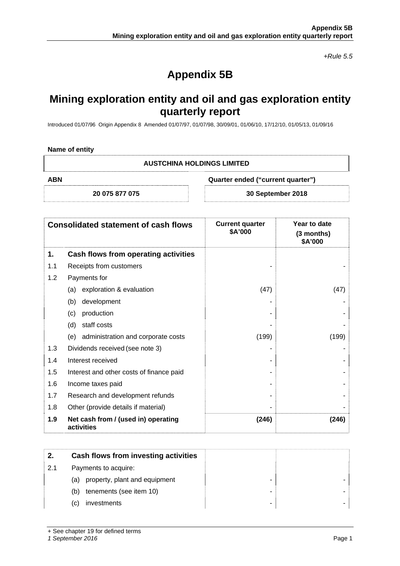*+Rule 5.5* 

# **Appendix 5B**

## **Mining exploration entity and oil and gas exploration entity quarterly report**

Introduced 01/07/96 Origin Appendix 8 Amended 01/07/97, 01/07/98, 30/09/01, 01/06/10, 17/12/10, 01/05/13, 01/09/16

#### **Name of entity**

#### **AUSTCHINA HOLDINGS LIMITED**

**ABN Quarter ended ("current quarter")** 

**20 075 877 075 30 September 2018** 

| <b>Consolidated statement of cash flows</b> |                                                   | <b>Current quarter</b><br>\$A'000 | Year to date<br>$(3$ months)<br>\$A'000 |
|---------------------------------------------|---------------------------------------------------|-----------------------------------|-----------------------------------------|
| 1.                                          | Cash flows from operating activities              |                                   |                                         |
| 1.1                                         | Receipts from customers                           |                                   |                                         |
| 1.2                                         | Payments for                                      |                                   |                                         |
|                                             | exploration & evaluation<br>(a)                   | (47)                              | (47)                                    |
|                                             | (b)<br>development                                |                                   |                                         |
|                                             | production<br>(c)                                 |                                   |                                         |
|                                             | staff costs<br>(d)                                |                                   |                                         |
|                                             | (e) administration and corporate costs            | (199)                             | (199)                                   |
| 1.3                                         | Dividends received (see note 3)                   |                                   |                                         |
| 1.4                                         | Interest received                                 |                                   |                                         |
| 1.5                                         | Interest and other costs of finance paid          |                                   |                                         |
| 1.6                                         | Income taxes paid                                 |                                   |                                         |
| 1.7                                         | Research and development refunds                  |                                   |                                         |
| 1.8                                         | Other (provide details if material)               |                                   |                                         |
| 1.9                                         | Net cash from / (used in) operating<br>activities | (246)                             | (246)                                   |

| 2.  | Cash flows from investing activities |  |
|-----|--------------------------------------|--|
| 2.1 | Payments to acquire:                 |  |
|     | property, plant and equipment<br>(a) |  |
|     | tenements (see item 10)<br>(b)       |  |
|     | investments<br>(C)                   |  |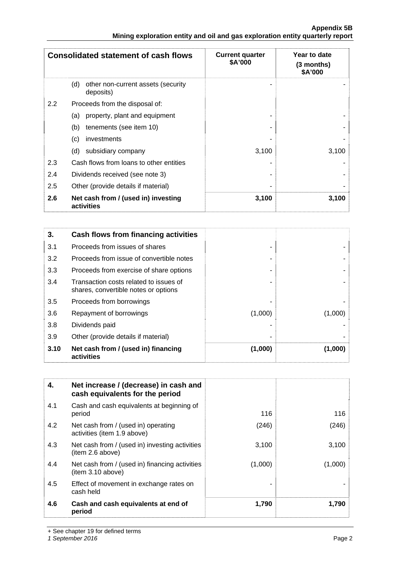| Appendix 5B                                                                   |  |
|-------------------------------------------------------------------------------|--|
| Mining exploration entity and oil and gas exploration entity quarterly report |  |

|     | <b>Consolidated statement of cash flows</b>            | <b>Current quarter</b><br>\$A'000 | Year to date<br>(3 months)<br>\$A'000 |
|-----|--------------------------------------------------------|-----------------------------------|---------------------------------------|
|     | (d)<br>other non-current assets (security<br>deposits) |                                   |                                       |
| 2.2 | Proceeds from the disposal of:                         |                                   |                                       |
|     | property, plant and equipment<br>(a)                   |                                   |                                       |
|     | tenements (see item 10)<br>(b)                         |                                   |                                       |
|     | (c)<br>investments                                     |                                   |                                       |
|     | subsidiary company<br>(d)                              | 3,100                             | 3,100                                 |
| 2.3 | Cash flows from loans to other entities                |                                   |                                       |
| 2.4 | Dividends received (see note 3)                        |                                   |                                       |
| 2.5 | Other (provide details if material)                    |                                   |                                       |
| 2.6 | Net cash from / (used in) investing<br>activities      | 3,100                             | 3,100                                 |

| 3.   | Cash flows from financing activities                                           |         |         |
|------|--------------------------------------------------------------------------------|---------|---------|
| 3.1  | Proceeds from issues of shares                                                 |         |         |
| 3.2  | Proceeds from issue of convertible notes                                       |         |         |
| 3.3  | Proceeds from exercise of share options                                        |         |         |
| 3.4  | Transaction costs related to issues of<br>shares, convertible notes or options |         |         |
| 3.5  | Proceeds from borrowings                                                       |         |         |
| 3.6  | Repayment of borrowings                                                        | (1,000) | (1,000) |
| 3.8  | Dividends paid                                                                 |         |         |
| 3.9  | Other (provide details if material)                                            |         |         |
| 3.10 | Net cash from / (used in) financing<br>activities                              | (1,000) | (1,000) |

| 4.  | Net increase / (decrease) in cash and<br>cash equivalents for the period |         |         |
|-----|--------------------------------------------------------------------------|---------|---------|
| 4.1 | Cash and cash equivalents at beginning of<br>period                      | 116     | 116     |
| 4.2 | Net cash from / (used in) operating<br>activities (item 1.9 above)       | (246)   | (246)   |
| 4.3 | Net cash from / (used in) investing activities<br>(item 2.6 above)       | 3,100   | 3,100   |
| 4.4 | Net cash from / (used in) financing activities<br>(item 3.10 above)      | (1,000) | (1,000) |
| 4.5 | Effect of movement in exchange rates on<br>cash held                     |         |         |
| 4.6 | Cash and cash equivalents at end of<br>period                            | 1,790   | 1,790   |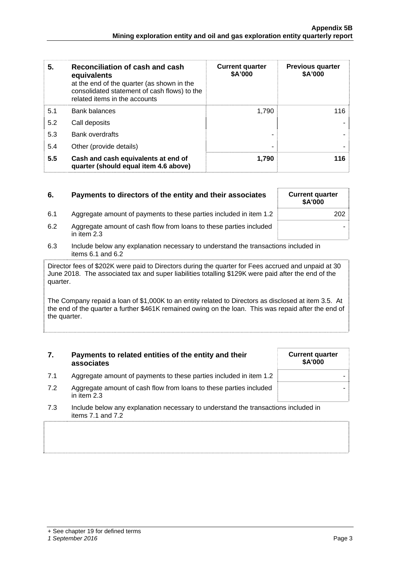| 5.  | Reconciliation of cash and cash<br>equivalents<br>at the end of the quarter (as shown in the<br>consolidated statement of cash flows) to the<br>related items in the accounts | <b>Current quarter</b><br>\$A'000 | <b>Previous quarter</b><br>\$A'000 |
|-----|-------------------------------------------------------------------------------------------------------------------------------------------------------------------------------|-----------------------------------|------------------------------------|
| 5.1 | <b>Bank balances</b>                                                                                                                                                          | 1.790                             | 116                                |
| 5.2 | Call deposits                                                                                                                                                                 |                                   |                                    |
| 5.3 | <b>Bank overdrafts</b>                                                                                                                                                        |                                   |                                    |
| 5.4 | Other (provide details)                                                                                                                                                       | ۰                                 |                                    |
| 5.5 | Cash and cash equivalents at end of<br>quarter (should equal item 4.6 above)                                                                                                  | 1,790                             | 116                                |

| 6.  | Payments to directors of the entity and their associates                          | <b>Current quarter</b><br><b>\$A'000</b> |
|-----|-----------------------------------------------------------------------------------|------------------------------------------|
| 6.1 | Aggregate amount of payments to these parties included in item 1.2                | 202                                      |
| 6.2 | Aggregate amount of cash flow from loans to these parties included<br>in item 2.3 |                                          |

6.3 Include below any explanation necessary to understand the transactions included in items 6.1 and 6.2

Director fees of \$202K were paid to Directors during the quarter for Fees accrued and unpaid at 30 June 2018. The associated tax and super liabilities totalling \$129K were paid after the end of the quarter.

The Company repaid a loan of \$1,000K to an entity related to Directors as disclosed at item 3.5. At the end of the quarter a further \$461K remained owing on the loan. This was repaid after the end of the quarter.

#### **7. Payments to related entities of the entity and their associates**

- 7.1 Aggregate amount of payments to these parties included in item 1.2
- 7.2 Aggregate amount of cash flow from loans to these parties included in item 2.3
- 7.3 Include below any explanation necessary to understand the transactions included in items 7.1 and 7.2

### **Current quarter \$A'000**

+ See chapter 19 for defined terms *1 September 2016* Page 3

-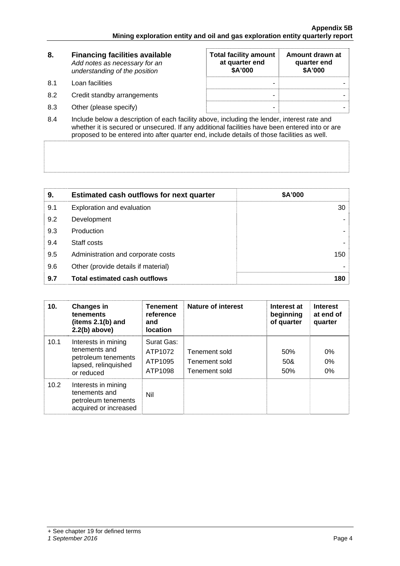| 8.   | <b>Financing facilities available</b><br>Add notes as necessary for an<br>understanding of the position | <b>Total facility amount</b><br>at quarter end<br>\$A'000 | Amount drawn at<br>quarter end<br>\$A'000 |
|------|---------------------------------------------------------------------------------------------------------|-----------------------------------------------------------|-------------------------------------------|
| -8.1 | Loan facilities                                                                                         | ۰                                                         |                                           |
| 8.2  | Credit standby arrangements                                                                             | -                                                         |                                           |
| 8.3  | Other (please specify)                                                                                  | -                                                         |                                           |

8.4 Include below a description of each facility above, including the lender, interest rate and whether it is secured or unsecured. If any additional facilities have been entered into or are proposed to be entered into after quarter end, include details of those facilities as well.

| 9.  | <b>Estimated cash outflows for next quarter</b> | \$A'000         |
|-----|-------------------------------------------------|-----------------|
| 9.1 | Exploration and evaluation                      | 30 <sup>°</sup> |
| 9.2 | Development                                     |                 |
| 9.3 | Production                                      |                 |
| 9.4 | Staff costs                                     |                 |
| 9.5 | Administration and corporate costs              | 150             |
| 9.6 | Other (provide details if material)             |                 |
| 9.7 | <b>Total estimated cash outflows</b>            | 180             |

| 10.  | <b>Changes in</b><br>tenements<br>(items $2.1(b)$ and<br>$2.2(b)$ above)                          | <b>Tenement</b><br>reference<br>and<br><b>location</b> | Nature of interest                              | Interest at<br>beginning<br>of quarter | <b>Interest</b><br>at end of<br>quarter |
|------|---------------------------------------------------------------------------------------------------|--------------------------------------------------------|-------------------------------------------------|----------------------------------------|-----------------------------------------|
| 10.1 | Interests in mining<br>tenements and<br>petroleum tenements<br>lapsed, relinquished<br>or reduced | Surat Gas:<br>ATP1072<br>ATP1095<br>ATP1098            | Tenement sold<br>Tenement sold<br>Tenement sold | 50%<br>50&<br>50%                      | $0\%$<br>0%<br>$0\%$                    |
| 10.2 | Interests in mining<br>tenements and<br>petroleum tenements<br>acquired or increased              | Nil                                                    |                                                 |                                        |                                         |